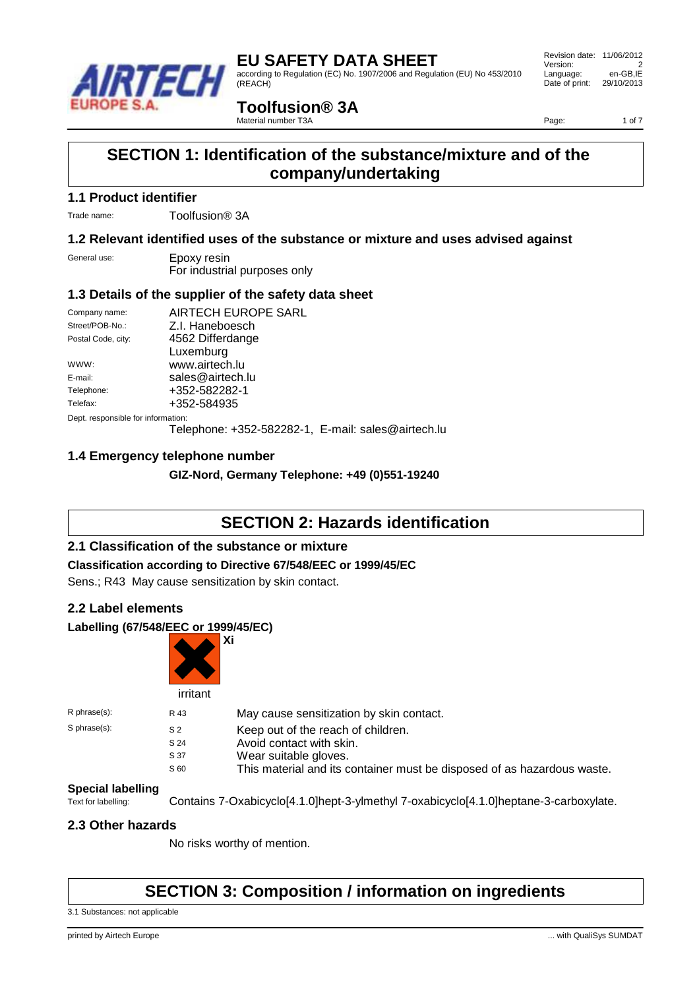

# **EU SAFETY DATA SHEET** according to Regulation (EC) No. 1907/2006 and Regulation (EU) No 453/2010 (REACH)

 Revision date: 11/06/2012 Version: 2<br>
Language: en-GB.IE Language: Date of print: 29/10/2013

# **Toolfusion® 3A**

Material number T3A

Page: 1 of 7

# **SECTION 1: Identification of the substance/mixture and of the company/undertaking**

### **1.1 Product identifier**

Trade name: Toolfusion® 3A

### **1.2 Relevant identified uses of the substance or mixture and uses advised against**

| General use: | Epoxy resin                  |
|--------------|------------------------------|
|              | For industrial purposes only |

### **1.3 Details of the supplier of the safety data sheet**

| Company name:                      | AIRTECH EUROPE SARL                                |  |  |
|------------------------------------|----------------------------------------------------|--|--|
|                                    |                                                    |  |  |
| Street/POB-No.:                    | Z.I. Haneboesch                                    |  |  |
| Postal Code, city:                 | 4562 Differdange                                   |  |  |
|                                    | Luxemburg                                          |  |  |
| WWW:                               | www.airtech.lu                                     |  |  |
| E-mail:                            | sales@airtech.lu                                   |  |  |
| Telephone:                         | +352-582282-1                                      |  |  |
| Telefax:                           | +352-584935                                        |  |  |
| Dept. responsible for information: |                                                    |  |  |
|                                    | Telephone: +352-582282-1, E-mail: sales@airtech.lu |  |  |

### **1.4 Emergency telephone number**

**GIZ-Nord, Germany Telephone: +49 (0)551-19240**

# **SECTION 2: Hazards identification**

### **2.1 Classification of the substance or mixture**

### **Classification according to Directive 67/548/EEC or 1999/45/EC**

Sens.; R43 May cause sensitization by skin contact.

### **2.2 Label elements**

### **Labelling (67/548/EEC or 1999/45/EC)**



| $R$ phrase $(s)$ : | R 43           | May cause sensitization by skin contact.                                |
|--------------------|----------------|-------------------------------------------------------------------------|
| S phrase(s):       | S <sub>2</sub> | Keep out of the reach of children.                                      |
|                    | S 24           | Avoid contact with skin.                                                |
|                    | S 37           | Wear suitable gloves.                                                   |
|                    | S 60           | This material and its container must be disposed of as hazardous waste. |

# **Special labelling**<br>Text for labelling:

Contains 7-Oxabicyclo[4.1.0]hept-3-ylmethyl 7-oxabicyclo[4.1.0]heptane-3-carboxylate.

### **2.3 Other hazards**

No risks worthy of mention.

# **SECTION 3: Composition / information on ingredients**

3.1 Substances: not applicable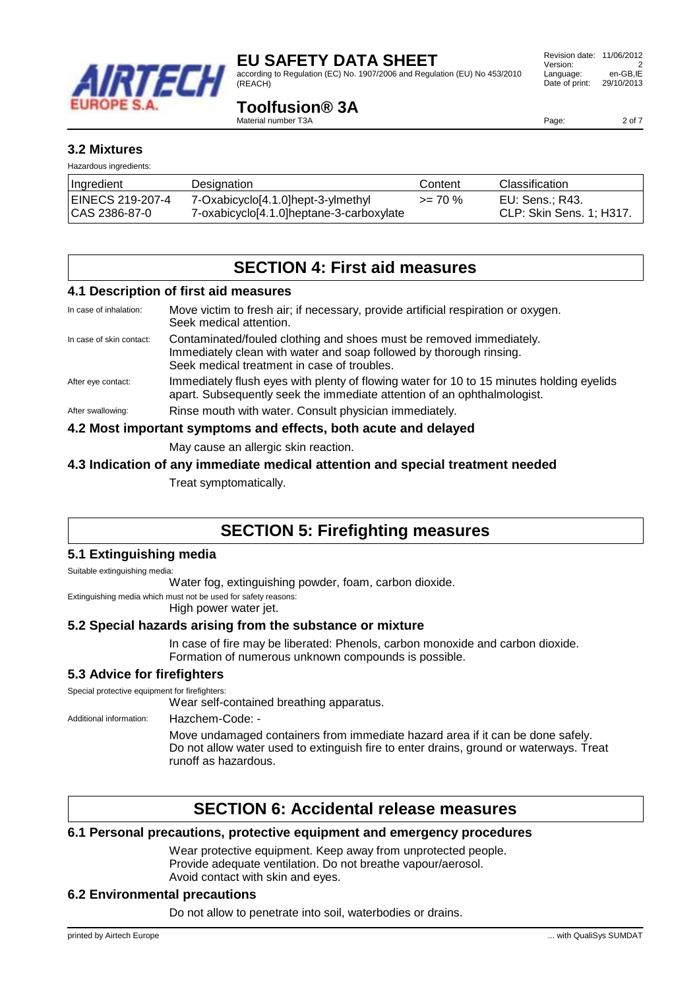

according to Regulation (EC) No. 1907/2006 and Regulation (EU) No 453/2010 (REACH)

## **Toolfusion® 3A**

Material number T3A

### **3.2 Mixtures**

| Hazardous ingredients: |                                          |            |                          |  |
|------------------------|------------------------------------------|------------|--------------------------|--|
| ∣Ingredient            | Designation                              | Content    | <b>Classification</b>    |  |
| EINECS 219-207-4       | 7-Oxabicyclo[4.1.0]hept-3-ylmethyl       | $>= 70 \%$ | EU: Sens.; R43.          |  |
| CAS 2386-87-0          | 7-oxabicyclo[4.1.0]heptane-3-carboxylate |            | CLP: Skin Sens. 1; H317. |  |

# **SECTION 4: First aid measures**

#### **4.1 Description of first aid measures**

| In case of inhalation:                                          | Move victim to fresh air; if necessary, provide artificial respiration or oxygen.<br>Seek medical attention.                                                                              |  |
|-----------------------------------------------------------------|-------------------------------------------------------------------------------------------------------------------------------------------------------------------------------------------|--|
| In case of skin contact:                                        | Contaminated/fouled clothing and shoes must be removed immediately.<br>Immediately clean with water and soap followed by thorough rinsing.<br>Seek medical treatment in case of troubles. |  |
| After eye contact:                                              | Immediately flush eyes with plenty of flowing water for 10 to 15 minutes holding eyelids<br>apart. Subsequently seek the immediate attention of an ophthalmologist.                       |  |
| After swallowing:                                               | Rinse mouth with water. Consult physician immediately.                                                                                                                                    |  |
| 4.2 Most important symptoms and effects, both acute and delayed |                                                                                                                                                                                           |  |

May cause an allergic skin reaction.

#### **4.3 Indication of any immediate medical attention and special treatment needed**

Treat symptomatically.

# **SECTION 5: Firefighting measures**

#### **5.1 Extinguishing media**

Suitable extinguishing media:

Water fog, extinguishing powder, foam, carbon dioxide.

Extinguishing media which must not be used for safety reasons:

High power water jet.

### **5.2 Special hazards arising from the substance or mixture**

In case of fire may be liberated: Phenols, carbon monoxide and carbon dioxide. Formation of numerous unknown compounds is possible.

### **5.3 Advice for firefighters**

Special protective equipment for firefighters:

Wear self-contained breathing apparatus.

Additional information: Hazchem-Code: -

Move undamaged containers from immediate hazard area if it can be done safely. Do not allow water used to extinguish fire to enter drains, ground or waterways. Treat runoff as hazardous.

# **SECTION 6: Accidental release measures**

#### **6.1 Personal precautions, protective equipment and emergency procedures**

Wear protective equipment. Keep away from unprotected people. Provide adequate ventilation. Do not breathe vapour/aerosol. Avoid contact with skin and eyes.

#### **6.2 Environmental precautions**

Do not allow to penetrate into soil, waterbodies or drains.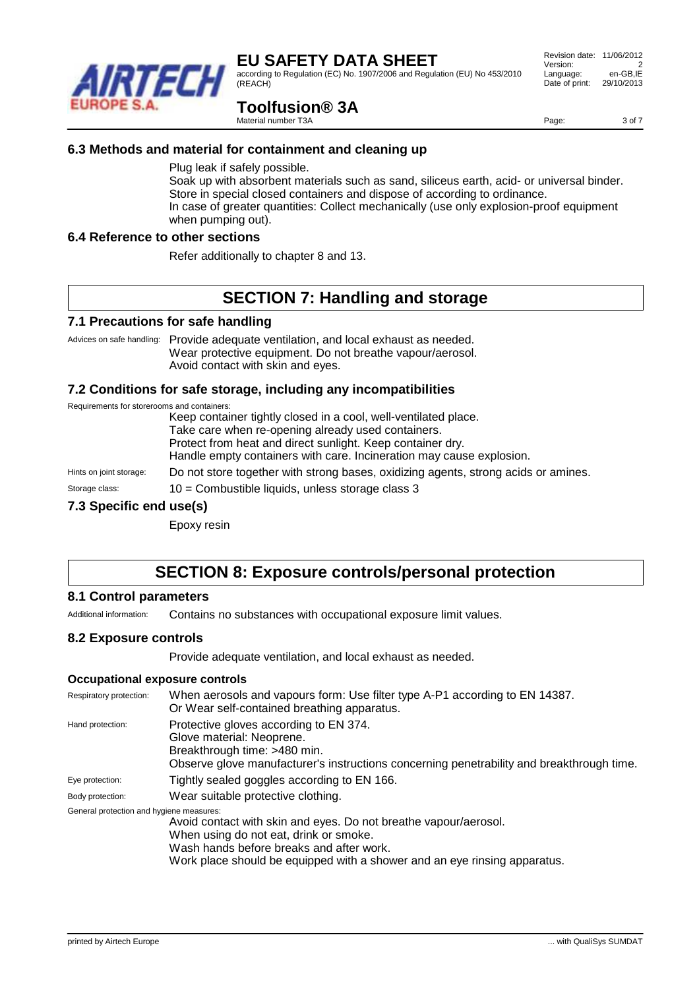according to Regulation (EC) No. 1907/2006 and Regulation (EU) No 453/2010 (REACH)

# **Toolfusion® 3A**

Material number T3A

### **6.3 Methods and material for containment and cleaning up**

Plug leak if safely possible.

Soak up with absorbent materials such as sand, siliceus earth, acid- or universal binder. Store in special closed containers and dispose of according to ordinance. In case of greater quantities: Collect mechanically (use only explosion-proof equipment when pumping out).

#### **6.4 Reference to other sections**

Refer additionally to chapter 8 and 13.

# **SECTION 7: Handling and storage**

#### **7.1 Precautions for safe handling**

Advices on safe handling: Provide adequate ventilation, and local exhaust as needed. Wear protective equipment. Do not breathe vapour/aerosol. Avoid contact with skin and eyes.

#### **7.2 Conditions for safe storage, including any incompatibilities**

Requirements for storerooms and containers:

Keep container tightly closed in a cool, well-ventilated place.

Take care when re-opening already used containers.

Protect from heat and direct sunlight. Keep container dry.

Handle empty containers with care. Incineration may cause explosion.

Hints on joint storage: Do not store together with strong bases, oxidizing agents, strong acids or amines.

Storage class: 10 = Combustible liquids, unless storage class 3

### **7.3 Specific end use(s)**

Epoxy resin

# **SECTION 8: Exposure controls/personal protection**

#### **8.1 Control parameters**

Additional information: Contains no substances with occupational exposure limit values.

### **8.2 Exposure controls**

Provide adequate ventilation, and local exhaust as needed.

#### **Occupational exposure controls**

| Respiratory protection:                  | When aerosols and vapours form: Use filter type A-P1 according to EN 14387.<br>Or Wear self-contained breathing apparatus.                                                                                                          |  |  |
|------------------------------------------|-------------------------------------------------------------------------------------------------------------------------------------------------------------------------------------------------------------------------------------|--|--|
| Hand protection:                         | Protective gloves according to EN 374.<br>Glove material: Neoprene.<br>Breakthrough time: >480 min.<br>Observe glove manufacturer's instructions concerning penetrability and breakthrough time.                                    |  |  |
| Eye protection:                          | Tightly sealed goggles according to EN 166.                                                                                                                                                                                         |  |  |
| Body protection:                         | Wear suitable protective clothing.                                                                                                                                                                                                  |  |  |
| General protection and hygiene measures: | Avoid contact with skin and eyes. Do not breathe vapour/aerosol.<br>When using do not eat, drink or smoke.<br>Wash hands before breaks and after work.<br>Work place should be equipped with a shower and an eye rinsing apparatus. |  |  |



 Revision date: 11/06/2012 Version: 2<br>
Language: en-GB.IE Language: Date of print: 29/10/2013

Page: 3 of 7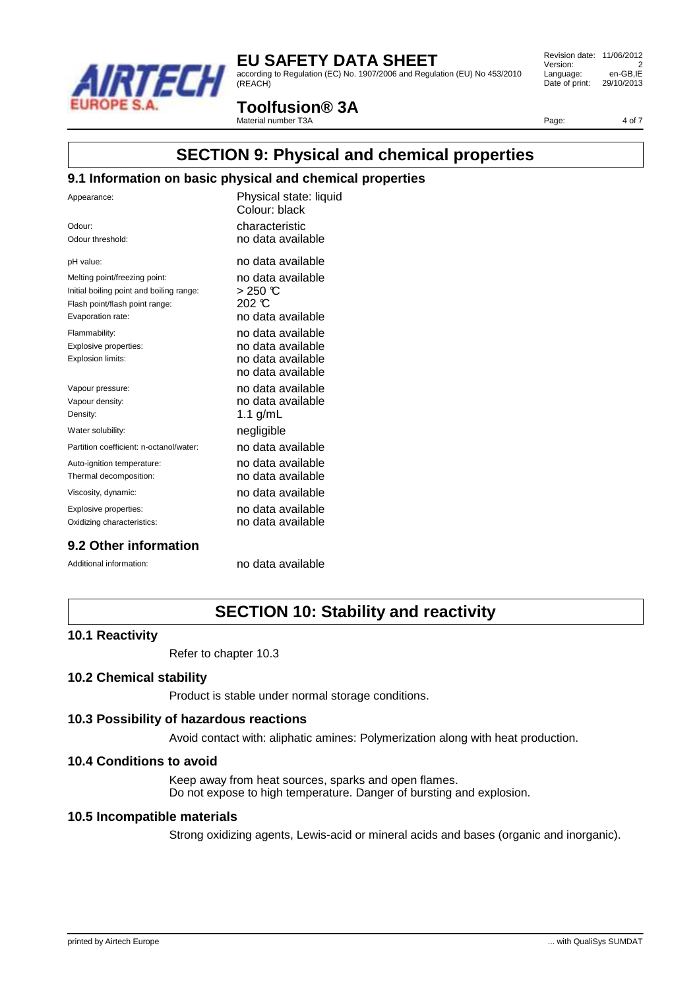

according to Regulation (EC) No. 1907/2006 and Regulation (EU) No 453/2010 (REACH)

 Revision date: 11/06/2012 Version: 2<br>
Language: en-GB.IE Language: Date of print: 29/10/2013

## **Toolfusion® 3A**

Material number T3A

Page: 4 of 7

## **SECTION 9: Physical and chemical properties**

#### **9.1 Information on basic physical and chemical properties**

| Appearance:                              | Physical state: liquid<br>Colour: black |
|------------------------------------------|-----------------------------------------|
| Odour:                                   | characteristic                          |
| Odour threshold:                         | no data available                       |
| pH value:                                | no data available                       |
| Melting point/freezing point:            | no data available                       |
| Initial boiling point and boiling range: | $>$ 250 °C                              |
| Flash point/flash point range:           | 202 $\mathcal{C}$                       |
| Evaporation rate:                        | no data available                       |
| Flammability:                            | no data available                       |
| Explosive properties:                    | no data available                       |
| Explosion limits:                        | no data available                       |
|                                          | no data available                       |
| Vapour pressure:                         | no data available                       |
| Vapour density:                          | no data available                       |
| Density:                                 | 1.1 g/mL                                |
| Water solubility:                        | negligible                              |
| Partition coefficient: n-octanol/water:  | no data available                       |
| Auto-ignition temperature:               | no data available                       |
| Thermal decomposition:                   | no data available                       |
| Viscosity, dynamic:                      | no data available                       |
| Explosive properties:                    | no data available                       |
| Oxidizing characteristics:               | no data available                       |
|                                          |                                         |

#### **9.2 Other information**

Additional information: no data available

# **SECTION 10: Stability and reactivity**

#### **10.1 Reactivity**

Refer to chapter 10.3

#### **10.2 Chemical stability**

Product is stable under normal storage conditions.

#### **10.3 Possibility of hazardous reactions**

Avoid contact with: aliphatic amines: Polymerization along with heat production.

#### **10.4 Conditions to avoid**

Keep away from heat sources, sparks and open flames. Do not expose to high temperature. Danger of bursting and explosion.

#### **10.5 Incompatible materials**

Strong oxidizing agents, Lewis-acid or mineral acids and bases (organic and inorganic).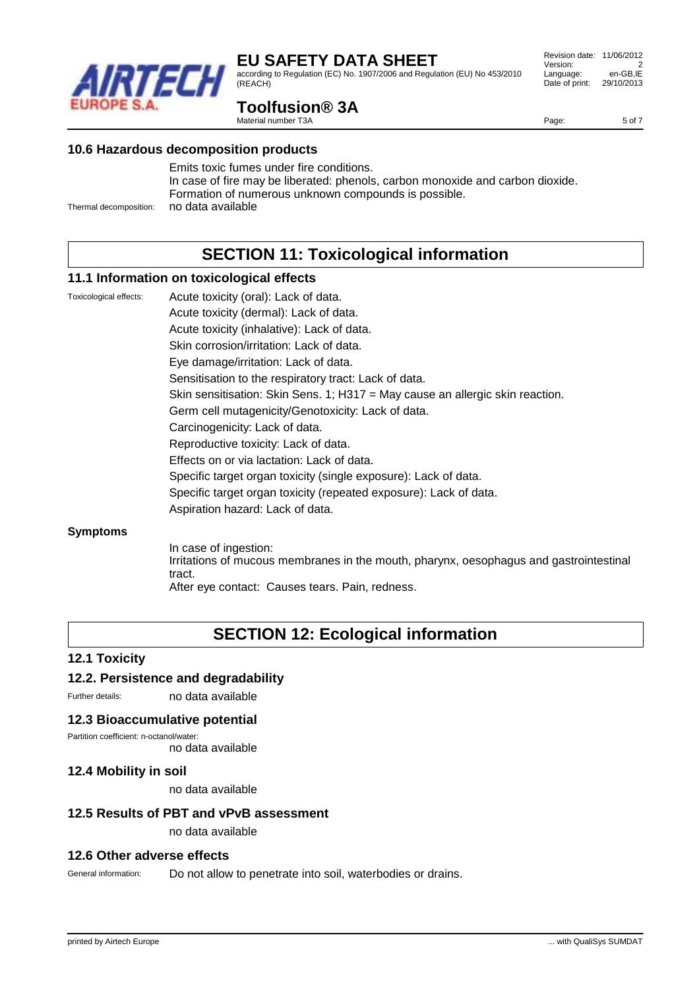

according to Regulation (EC) No. 1907/2006 and Regulation (EU) No 453/2010 (REACH)

#### Revision date: 11/06/2012 Version: 2<br>
Language: en-GB.IE Language: Date of print: 29/10/2013

Page: 5 of 7

## **Toolfusion® 3A**

Material number T3A

#### **10.6 Hazardous decomposition products**

Emits toxic fumes under fire conditions. In case of fire may be liberated: phenols, carbon monoxide and carbon dioxide. Formation of numerous unknown compounds is possible. Thermal decomposition: no data available

**SECTION 11: Toxicological information**

#### **11.1 Information on toxicological effects**

Toxicological effects: Acute toxicity (oral): Lack of data. Acute toxicity (dermal): Lack of data. Acute toxicity (inhalative): Lack of data. Skin corrosion/irritation: Lack of data. Eye damage/irritation: Lack of data. Sensitisation to the respiratory tract: Lack of data. Skin sensitisation: Skin Sens. 1; H317 = May cause an allergic skin reaction. Germ cell mutagenicity/Genotoxicity: Lack of data. Carcinogenicity: Lack of data. Reproductive toxicity: Lack of data. Effects on or via lactation: Lack of data. Specific target organ toxicity (single exposure): Lack of data. Specific target organ toxicity (repeated exposure): Lack of data. Aspiration hazard: Lack of data.

#### **Symptoms**

In case of ingestion: Irritations of mucous membranes in the mouth, pharynx, oesophagus and gastrointestinal tract. After eye contact: Causes tears. Pain, redness.

# **SECTION 12: Ecological information**

### **12.1 Toxicity**

### **12.2. Persistence and degradability**

Further details: no data available

#### **12.3 Bioaccumulative potential**

Partition coefficient: n-octanol/water: no data available

#### **12.4 Mobility in soil**

no data available

#### **12.5 Results of PBT and vPvB assessment**

no data available

#### **12.6 Other adverse effects**

General information: Do not allow to penetrate into soil, waterbodies or drains.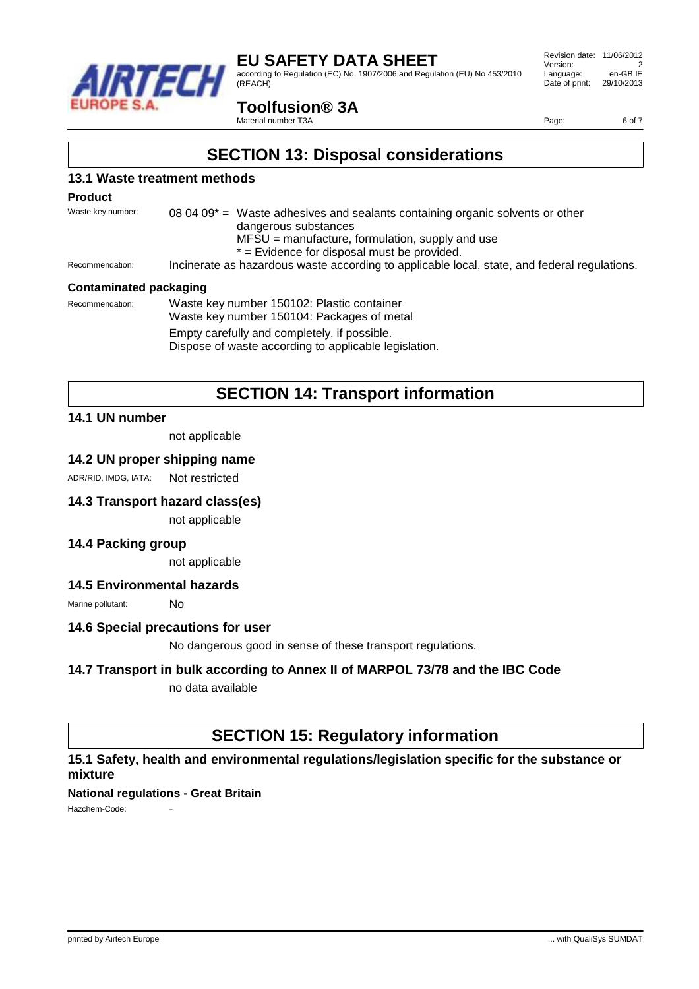

according to Regulation (EC) No. 1907/2006 and Regulation (EU) No 453/2010 (REACH)

## **Toolfusion® 3A**

Material number T3A

Page: 6 of 7

## **SECTION 13: Disposal considerations**

#### **13.1 Waste treatment methods**

#### **Product**

Waste key number: 08 04 09<sup>\*</sup> = Waste adhesives and sealants containing organic solvents or other dangerous substances  $MFSU =$  manufacture, formulation, supply and use \* = Evidence for disposal must be provided.

Recommendation: Incinerate as hazardous waste according to applicable local, state, and federal regulations.

#### **Contaminated packaging**

Recommendation: Waste key number 150102: Plastic container Waste key number 150104: Packages of metal Empty carefully and completely, if possible. Dispose of waste according to applicable legislation.

# **SECTION 14: Transport information**

#### **14.1 UN number**

not applicable

#### **14.2 UN proper shipping name**

ADR/RID, IMDG, IATA: Not restricted

#### **14.3 Transport hazard class(es)**

not applicable

#### **14.4 Packing group**

not applicable

#### **14.5 Environmental hazards**

Marine pollutant: No

#### **14.6 Special precautions for user**

No dangerous good in sense of these transport regulations.

#### **14.7 Transport in bulk according to Annex II of MARPOL 73/78 and the IBC Code**

no data available

## **SECTION 15: Regulatory information**

#### **15.1 Safety, health and environmental regulations/legislation specific for the substance or mixture**

#### **National regulations - Great Britain**

Hazchem-Code: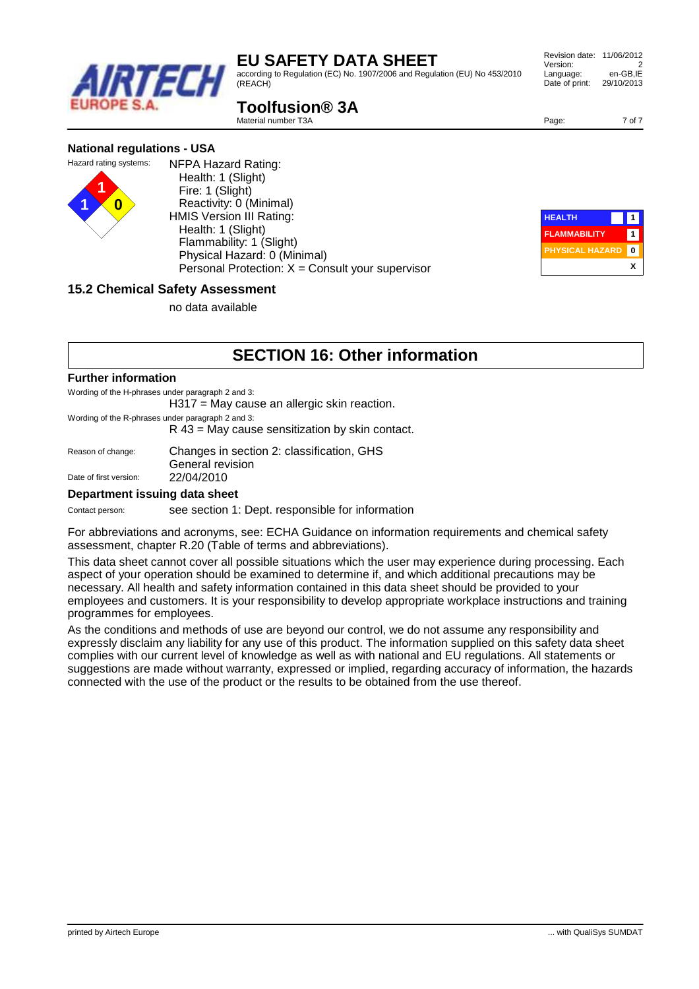according to Regulation (EC) No. 1907/2006 and Regulation (EU) No 453/2010 (REACH)

# **Toolfusion® 3A**

Material number T3A

**1 1 0**

| NFPA Hazard Rating:<br>Health: 1 (Slight)                  |
|------------------------------------------------------------|
| Fire: 1 (Slight)                                           |
| Reactivity: 0 (Minimal)<br><b>HMIS Version III Rating:</b> |
| Health: 1 (Slight)                                         |
| Flammability: 1 (Slight)                                   |
| Physical Hazard: 0 (Minimal)                               |
| Personal Protection: $X =$ Consult your supervisor         |
|                                                            |

# **15.2 Chemical Safety Assessment**

no data available

# **SECTION 16: Other information**

#### **Further information**

Wording of the H-phrases under paragraph 2 and 3:

H317 = May cause an allergic skin reaction.

Wording of the R-phrases under paragraph 2 and 3:

R 43 = May cause sensitization by skin contact.

| Reason of change:      | Changes in section 2: classification, GHS |
|------------------------|-------------------------------------------|
|                        | General revision                          |
| Date of first version: | 22/04/2010                                |

#### **Department issuing data sheet**

Contact person: see section 1: Dept. responsible for information

For abbreviations and acronyms, see: ECHA Guidance on information requirements and chemical safety assessment, chapter R.20 (Table of terms and abbreviations).

This data sheet cannot cover all possible situations which the user may experience during processing. Each aspect of your operation should be examined to determine if, and which additional precautions may be necessary. All health and safety information contained in this data sheet should be provided to your employees and customers. It is your responsibility to develop appropriate workplace instructions and training programmes for employees.

As the conditions and methods of use are beyond our control, we do not assume any responsibility and expressly disclaim any liability for any use of this product. The information supplied on this safety data sheet complies with our current level of knowledge as well as with national and EU regulations. All statements or suggestions are made without warranty, expressed or implied, regarding accuracy of information, the hazards connected with the use of the product or the results to be obtained from the use thereof.



 Revision date: 11/06/2012 Version: 2<br>
Language: en-GB.IE Language: Date of print: 29/10/2013



Page: 7 of 7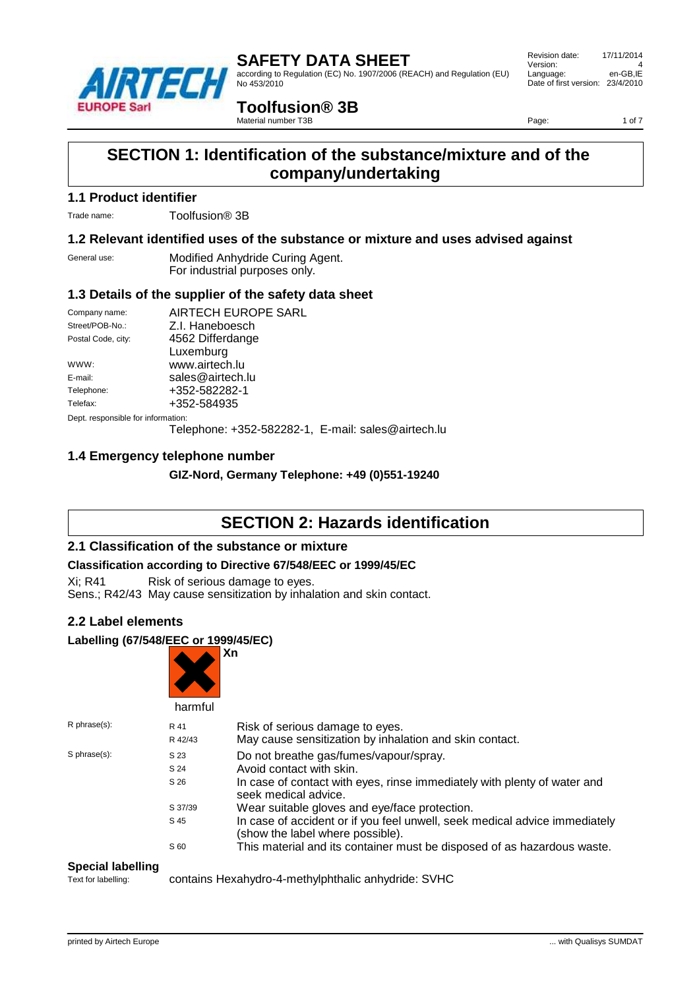

according to Regulation (EC) No. 1907/2006 (REACH) and Regulation (EU) No 453/2010

 Revision date: 17/11/2014 Version: 4<br>
Language: en-GB.IE Language: Date of first version: 23/4/2010

### **Toolfusion® 3B**

Material number T3B

Page: 1 of 7

# **SECTION 1: Identification of the substance/mixture and of the company/undertaking**

#### **1.1 Product identifier**

Trade name: Toolfusion® 3B

### **1.2 Relevant identified uses of the substance or mixture and uses advised against**

General use: Modified Anhydride Curing Agent. For industrial purposes only.

### **1.3 Details of the supplier of the safety data sheet**

| Company name:                      | AIRTECH EUROPE SARL                                         |  |  |
|------------------------------------|-------------------------------------------------------------|--|--|
| Street/POB-No.:                    | Z.I. Haneboesch                                             |  |  |
| Postal Code, city:                 | 4562 Differdange                                            |  |  |
|                                    | Luxemburg                                                   |  |  |
| WWW:                               | www.airtech.lu                                              |  |  |
| E-mail:                            | sales@airtech.lu                                            |  |  |
| Telephone:                         | +352-582282-1                                               |  |  |
| Telefax:                           | +352-584935                                                 |  |  |
| Dept. responsible for information: |                                                             |  |  |
|                                    | $T_{\alpha}$ lanhana: $25255022224$ $\Gamma$ mail: $200224$ |  |  |

Telephone: +352-582282-1, E-mail: sales@airtech.lu

### **1.4 Emergency telephone number**

**GIZ-Nord, Germany Telephone: +49 (0)551-19240**

# **SECTION 2: Hazards identification**

### **2.1 Classification of the substance or mixture**

### **Classification according to Directive 67/548/EEC or 1999/45/EC**

Xi; R41 Risk of serious damage to eyes. Sens.; R42/43 May cause sensitization by inhalation and skin contact.

### **2.2 Label elements**

### **Labelling (67/548/EEC or 1999/45/EC)**

|                    | harmful | Xn                                                                                                             |
|--------------------|---------|----------------------------------------------------------------------------------------------------------------|
| $R$ phrase $(s)$ : | R 41    | Risk of serious damage to eyes.                                                                                |
|                    | R 42/43 | May cause sensitization by inhalation and skin contact.                                                        |
| S phrase(s):       | S 23    | Do not breathe gas/fumes/vapour/spray.                                                                         |
|                    | S 24    | Avoid contact with skin.                                                                                       |
|                    | S 26    | In case of contact with eyes, rinse immediately with plenty of water and<br>seek medical advice.               |
|                    | S 37/39 | Wear suitable gloves and eye/face protection.                                                                  |
|                    | S 45    | In case of accident or if you feel unwell, seek medical advice immediately<br>(show the label where possible). |
|                    | S 60    | This material and its container must be disposed of as hazardous waste.                                        |

#### **Special labelling**

Text for labelling: contains Hexahydro-4-methylphthalic anhydride: SVHC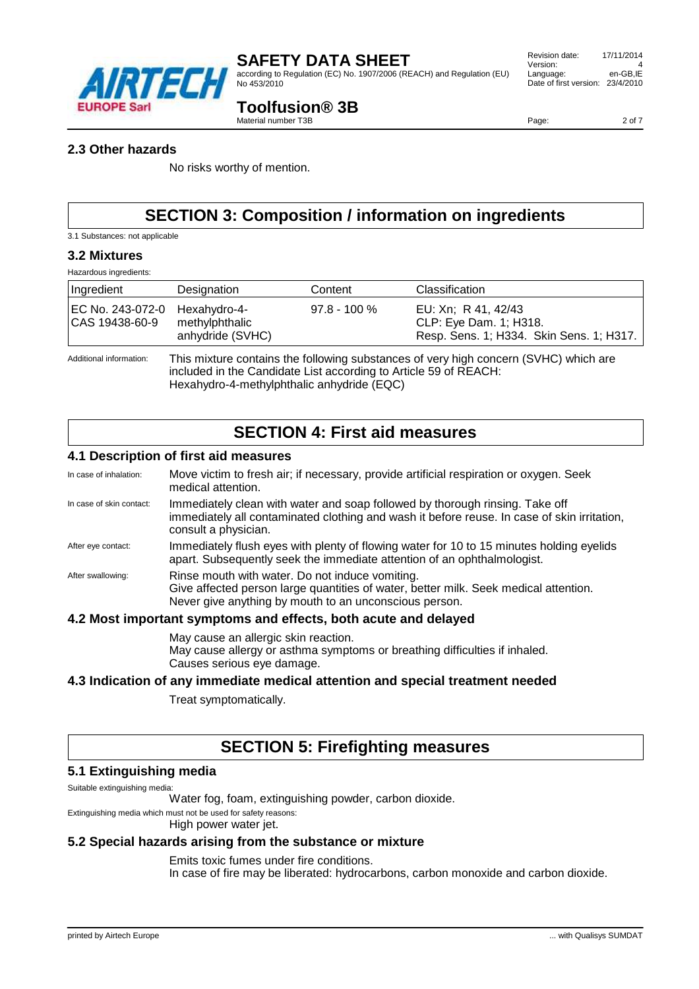

according to Regulation (EC) No. 1907/2006 (REACH) and Regulation (EU) No 453/2010

#### Revision date: 17/11/2014 Version: 4<br>
Language: en-GB.IE Language: Date of first version: 23/4/2010

### **Toolfusion® 3B**

Material number T3B

Page: 2 of 7

#### **2.3 Other hazards**

No risks worthy of mention.

# **SECTION 3: Composition / information on ingredients**

3.1 Substances: not applicable

#### **3.2 Mixtures**

Hazardous ingredients:

| Ingredient                                                                                                      | Designation                        | Content        | Classification                                                                            |
|-----------------------------------------------------------------------------------------------------------------|------------------------------------|----------------|-------------------------------------------------------------------------------------------|
| EC No. 243-072-0 Hexahydro-4-<br>CAS 19438-60-9                                                                 | methylphthalic<br>anhydride (SVHC) | $97.8 - 100\%$ | EU: Xn; R 41, 42/43<br>CLP: Eye Dam. 1; H318.<br>Resp. Sens. 1; H334. Skin Sens. 1; H317. |
| This mixture contains the following substances of very high concern (SVHC) which are<br>Additional information: |                                    |                |                                                                                           |

included in the Candidate List according to Article 59 of REACH:

Hexahydro-4-methylphthalic anhydride (EQC)

# **SECTION 4: First aid measures**

#### **4.1 Description of first aid measures**

| In case of inhalation:   | Move victim to fresh air; if necessary, provide artificial respiration or oxygen. Seek<br>medical attention.                                                                                        |
|--------------------------|-----------------------------------------------------------------------------------------------------------------------------------------------------------------------------------------------------|
| In case of skin contact: | Immediately clean with water and soap followed by thorough rinsing. Take off<br>immediately all contaminated clothing and wash it before reuse. In case of skin irritation,<br>consult a physician. |
| After eye contact:       | Immediately flush eyes with plenty of flowing water for 10 to 15 minutes holding eyelids<br>apart. Subsequently seek the immediate attention of an ophthalmologist.                                 |
| After swallowing:        | Rinse mouth with water. Do not induce vomiting.<br>Give affected person large quantities of water, better milk. Seek medical attention.<br>Never give anything by mouth to an unconscious person.   |
|                          | 4.2 Most important symptoms and effects, both acute and delaved                                                                                                                                     |

#### **4.2 Most important symptoms and effects, both acute and delayed**

May cause an allergic skin reaction. May cause allergy or asthma symptoms or breathing difficulties if inhaled. Causes serious eye damage.

### **4.3 Indication of any immediate medical attention and special treatment needed**

Treat symptomatically.

# **SECTION 5: Firefighting measures**

### **5.1 Extinguishing media**

Suitable extinguishing media:

Water fog, foam, extinguishing powder, carbon dioxide.

Extinguishing media which must not be used for safety reasons:

High power water jet.

#### **5.2 Special hazards arising from the substance or mixture**

Emits toxic fumes under fire conditions.

In case of fire may be liberated: hydrocarbons, carbon monoxide and carbon dioxide.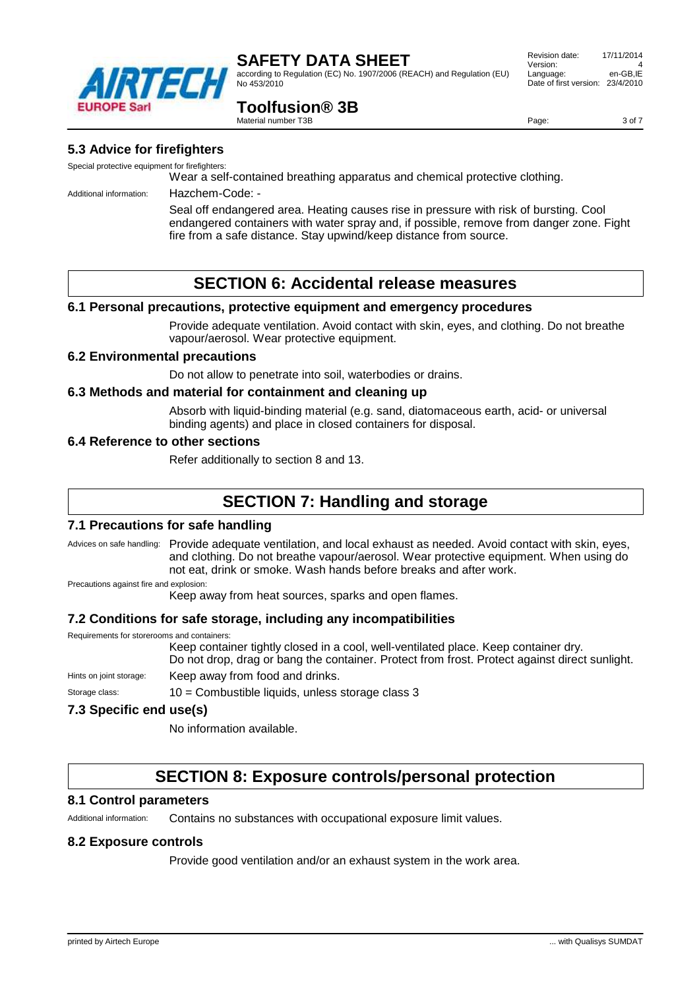

according to Regulation (EC) No. 1907/2006 (REACH) and Regulation (EU) No 453/2010

#### Revision date: 17/11/2014 Version: 4 Language: en-GB,IE Date of first version: 23/4/2010

## **Toolfusion® 3B**

Material number T3B

Page: 3 of 7

### **5.3 Advice for firefighters**

Special protective equipment for firefighters:

Wear a self-contained breathing apparatus and chemical protective clothing.

Additional information: Hazchem-Code: -

Seal off endangered area. Heating causes rise in pressure with risk of bursting. Cool endangered containers with water spray and, if possible, remove from danger zone. Fight fire from a safe distance. Stay upwind/keep distance from source.

# **SECTION 6: Accidental release measures**

### **6.1 Personal precautions, protective equipment and emergency procedures**

Provide adequate ventilation. Avoid contact with skin, eyes, and clothing. Do not breathe vapour/aerosol. Wear protective equipment.

#### **6.2 Environmental precautions**

Do not allow to penetrate into soil, waterbodies or drains.

#### **6.3 Methods and material for containment and cleaning up**

Absorb with liquid-binding material (e.g. sand, diatomaceous earth, acid- or universal binding agents) and place in closed containers for disposal.

#### **6.4 Reference to other sections**

Refer additionally to section 8 and 13.

# **SECTION 7: Handling and storage**

### **7.1 Precautions for safe handling**

Advices on safe handling: Provide adequate ventilation, and local exhaust as needed. Avoid contact with skin, eyes, and clothing. Do not breathe vapour/aerosol. Wear protective equipment. When using do not eat, drink or smoke. Wash hands before breaks and after work. Precautions against fire and explosion:

Keep away from heat sources, sparks and open flames.

### **7.2 Conditions for safe storage, including any incompatibilities**

Requirements for storerooms and containers: Keep container tightly closed in a cool, well-ventilated place. Keep container dry. Do not drop, drag or bang the container. Protect from frost. Protect against direct sunlight. Hints on joint storage: Keep away from food and drinks. Storage class: 10 = Combustible liquids, unless storage class 3

### **7.3 Specific end use(s)**

No information available.

# **SECTION 8: Exposure controls/personal protection**

#### **8.1 Control parameters**

Additional information: Contains no substances with occupational exposure limit values.

#### **8.2 Exposure controls**

Provide good ventilation and/or an exhaust system in the work area.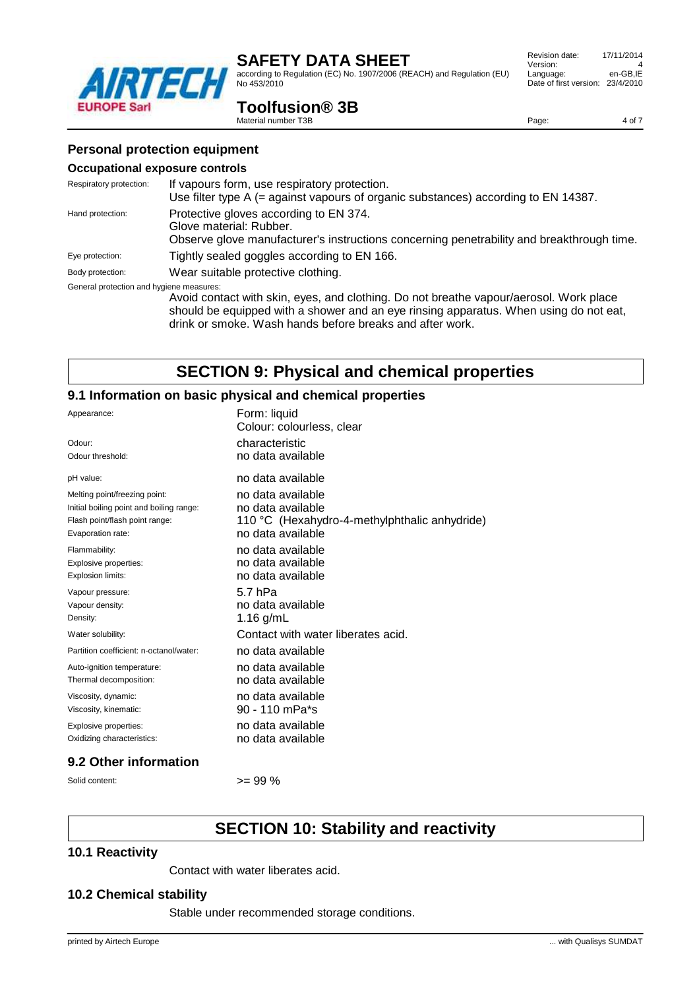according to Regulation (EC) No. 1907/2006 (REACH) and Regulation (EU) No 453/2010

| Revision date:         | 17/11/2014 |
|------------------------|------------|
| Version:               | Δ          |
| Language:              | en-GB.IE   |
| Date of first version: | 23/4/2010  |
|                        |            |

Page: 4 of 7

### **Toolfusion® 3B**

Material number T3B

### **Personal protection equipment**

TST

#### **Occupational exposure controls**

**EUROPE Sarl** 

| Respiratory protection:                                                                                                                                                            | If vapours form, use respiratory protection.<br>Use filter type A (= against vapours of organic substances) according to EN 14387.                                                           |
|------------------------------------------------------------------------------------------------------------------------------------------------------------------------------------|----------------------------------------------------------------------------------------------------------------------------------------------------------------------------------------------|
| Protective gloves according to EN 374.<br>Hand protection:<br>Glove material: Rubber.<br>Observe glove manufacturer's instructions concerning penetrability and breakthrough time. |                                                                                                                                                                                              |
| Eye protection:                                                                                                                                                                    | Tightly sealed goggles according to EN 166.                                                                                                                                                  |
| Body protection:                                                                                                                                                                   | Wear suitable protective clothing.                                                                                                                                                           |
| General protection and hygiene measures:                                                                                                                                           | Avoid contact with skin, eyes, and clothing. Do not breathe vapour/aerosol. Work place<br>al a childrea ann an 1976. Tha an t-an an t-an an a-chaidh an an a-chaidh an 1976. Tha ann an a-ch |

should be equipped with a shower and an eye rinsing apparatus. When using do not eat, drink or smoke. Wash hands before breaks and after work.

# **SECTION 9: Physical and chemical properties**

### **9.1 Information on basic physical and chemical properties**

| Appearance:                              | Form: liquid<br>Colour: colourless, clear     |
|------------------------------------------|-----------------------------------------------|
| Odour:                                   | characteristic                                |
| Odour threshold:                         | no data available                             |
| pH value:                                | no data available                             |
| Melting point/freezing point:            | no data available                             |
| Initial boiling point and boiling range: | no data available                             |
| Flash point/flash point range:           | 110 °C (Hexahydro-4-methylphthalic anhydride) |
| Evaporation rate:                        | no data available                             |
| Flammability:                            | no data available                             |
| Explosive properties:                    | no data available                             |
| Explosion limits:                        | no data available                             |
| Vapour pressure:                         | 5.7 hPa                                       |
| Vapour density:                          | no data available                             |
| Density:                                 | 1.16 $g/mL$                                   |
| Water solubility:                        | Contact with water liberates acid.            |
| Partition coefficient: n-octanol/water:  | no data available                             |
| Auto-ignition temperature:               | no data available                             |
| Thermal decomposition:                   | no data available                             |
| Viscosity, dynamic:                      | no data available                             |
| Viscosity, kinematic:                    | 90 - 110 mPa*s                                |
| Explosive properties:                    | no data available                             |
| Oxidizing characteristics:               | no data available                             |

#### **9.2 Other information**

Solid content:  $>= 99 \%$ 

# **SECTION 10: Stability and reactivity**

#### **10.1 Reactivity**

Contact with water liberates acid.

#### **10.2 Chemical stability**

Stable under recommended storage conditions.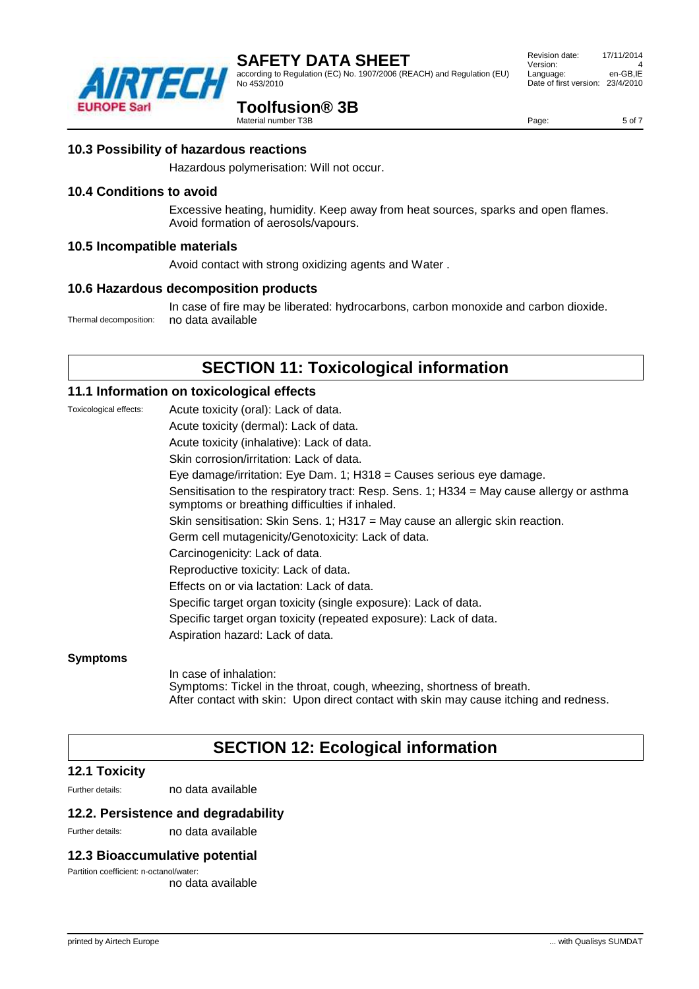according to Regulation (EC) No. 1907/2006 (REACH) and Regulation (EU) No 453/2010

## **Toolfusion® 3B**

Material number T3B

Hazardous polymerisation: Will not occur.

#### **10.4 Conditions to avoid**

Excessive heating, humidity. Keep away from heat sources, sparks and open flames. Avoid formation of aerosols/vapours.

#### **10.5 Incompatible materials**

Avoid contact with strong oxidizing agents and Water .

#### **10.6 Hazardous decomposition products**

In case of fire may be liberated: hydrocarbons, carbon monoxide and carbon dioxide. Thermal decomposition: no data available

# **SECTION 11: Toxicological information**

#### **11.1 Information on toxicological effects**

Toxicological effects: Acute toxicity (oral): Lack of data. Acute toxicity (dermal): Lack of data. Acute toxicity (inhalative): Lack of data. Skin corrosion/irritation: Lack of data. Eye damage/irritation: Eye Dam. 1; H318 = Causes serious eye damage. Sensitisation to the respiratory tract: Resp. Sens. 1; H334 = May cause allergy or asthma symptoms or breathing difficulties if inhaled. Skin sensitisation: Skin Sens. 1; H317 = May cause an allergic skin reaction. Germ cell mutagenicity/Genotoxicity: Lack of data. Carcinogenicity: Lack of data. Reproductive toxicity: Lack of data. Effects on or via lactation: Lack of data. Specific target organ toxicity (single exposure): Lack of data. Specific target organ toxicity (repeated exposure): Lack of data. Aspiration hazard: Lack of data.

#### **Symptoms**

In case of inhalation: Symptoms: Tickel in the throat, cough, wheezing, shortness of breath. After contact with skin: Upon direct contact with skin may cause itching and redness.

# **SECTION 12: Ecological information**

#### **12.1 Toxicity**

Further details: no data available

#### **12.2. Persistence and degradability**

Further details: no data available

#### **12.3 Bioaccumulative potential**

Partition coefficient: n-octanol/water: no data available

| <b>12.1 Toxicity</b> |  |
|----------------------|--|
|                      |  |





Page: 5 of 7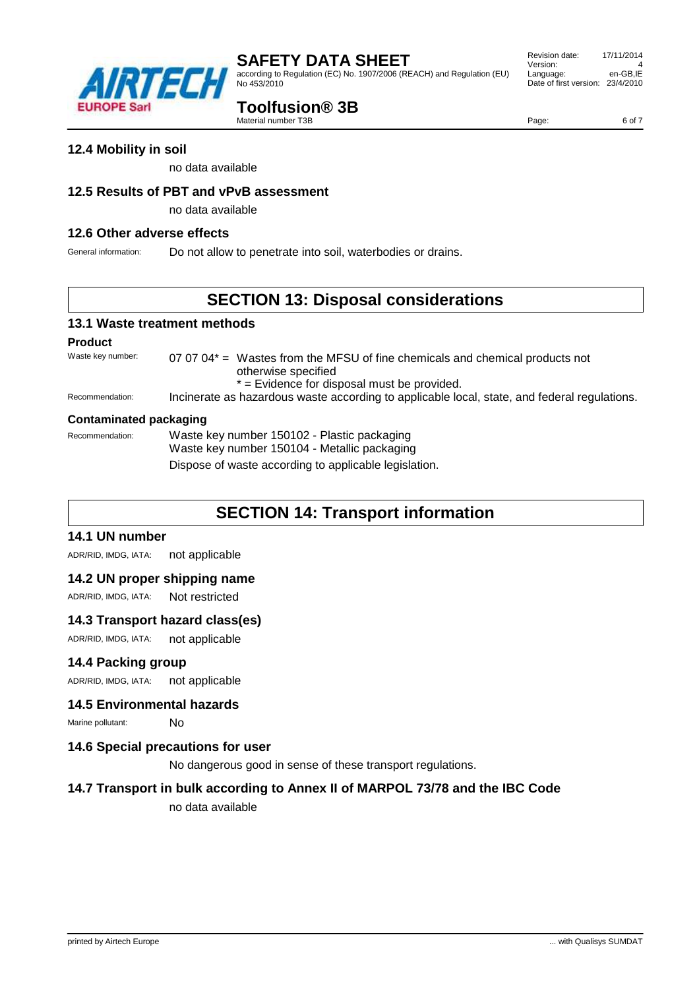according to Regulation (EC) No. 1907/2006 (REACH) and Regulation (EU) No 453/2010

# **Toolfusion® 3B**

Material number T3B

no data available

### **12.5 Results of PBT and vPvB assessment**

no data available

#### **12.6 Other adverse effects**

General information: Do not allow to penetrate into soil, waterbodies or drains.

# **SECTION 13: Disposal considerations**

### **13.1 Waste treatment methods**

#### **Product**

Waste key number:  $07.0704* =$  Wastes from the MFSU of fine chemicals and chemical products not otherwise specified \* = Evidence for disposal must be provided. Recommendation: Incinerate as hazardous waste according to applicable local, state, and federal regulations.

#### **Contaminated packaging**

Recommendation: Waste key number 150102 - Plastic packaging

Waste key number 150104 - Metallic packaging

Dispose of waste according to applicable legislation.

# **SECTION 14: Transport information**

#### **14.1 UN number**

ADR/RID, IMDG, IATA: not applicable

### **14.2 UN proper shipping name**

ADR/RID, IMDG, IATA: Not restricted

#### **14.3 Transport hazard class(es)**

ADR/RID, IMDG, IATA: not applicable

#### **14.4 Packing group**

ADR/RID, IMDG, IATA: not applicable

#### **14.5 Environmental hazards**

Marine pollutant: No

#### **14.6 Special precautions for user**

No dangerous good in sense of these transport regulations.

### **14.7 Transport in bulk according to Annex II of MARPOL 73/78 and the IBC Code**

no data available



Page: 6 of 7